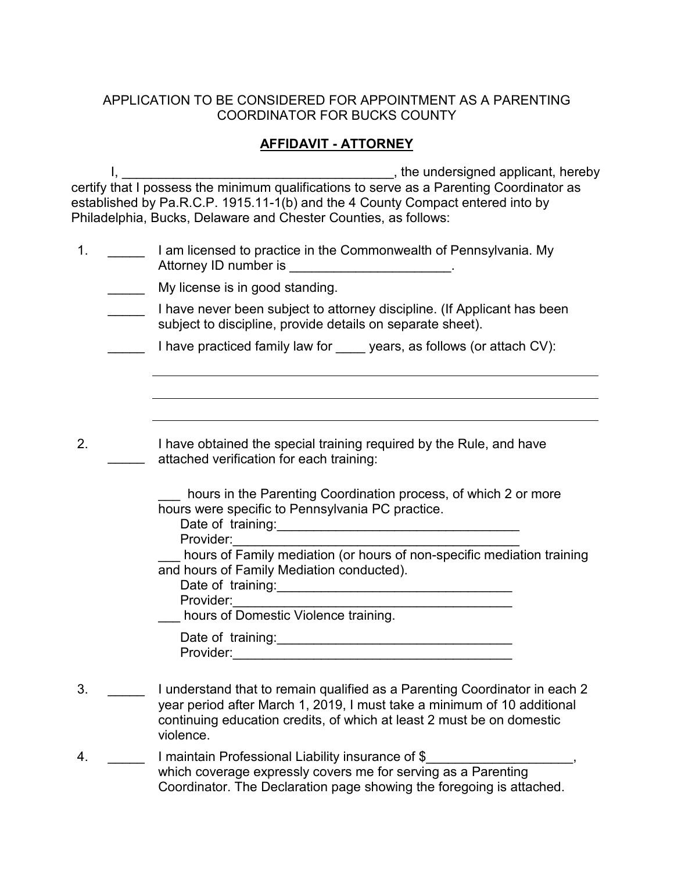## APPLICATION TO BE CONSIDERED FOR APPOINTMENT AS A PARENTING COORDINATOR FOR BUCKS COUNTY

## **AFFIDAVIT - ATTORNEY**

I, \_\_\_\_\_\_\_\_\_\_\_\_\_\_\_\_\_\_\_\_\_\_\_\_\_\_\_\_\_\_\_\_\_\_\_\_\_, the undersigned applicant, hereby certify that I possess the minimum qualifications to serve as a Parenting Coordinator as established by Pa.R.C.P. 1915.11-1(b) and the 4 County Compact entered into by Philadelphia, Bucks, Delaware and Chester Counties, as follows:

- 1. \_\_\_\_\_ I am licensed to practice in the Commonwealth of Pennsylvania. My Attorney ID number is \_\_\_\_\_\_\_\_\_\_\_\_\_\_\_\_\_\_\_\_\_\_\_\_.
	- **Wy license is in good standing.**
	- **Thave never been subject to attorney discipline.** (If Applicant has been subject to discipline, provide details on separate sheet).
	- I have practiced family law for years, as follows (or attach CV):
	- \_\_\_\_\_ attached verification for each training: I have obtained the special training required by the Rule, and have

| hours in the Parenting Coordination process, of which 2 or more |
|-----------------------------------------------------------------|
| hours were specific to Pennsylvania PC practice.                |

Date of training:\_\_\_\_\_\_\_\_\_\_\_\_\_\_\_\_\_\_\_\_\_\_\_\_\_\_\_\_\_\_\_\_\_

Provider:\_\_\_\_\_\_\_\_\_\_\_\_\_\_\_\_\_\_\_\_\_\_\_\_\_\_\_\_\_\_\_\_\_\_\_\_\_\_\_

2.

\_\_\_ hours of Family mediation (or hours of non-specific mediation training and hours of Family Mediation conducted). Date of training:\_\_\_\_\_\_\_\_\_\_\_\_\_\_\_\_\_\_\_\_\_\_\_\_\_\_\_\_\_\_\_\_

Provider:

hours of Domestic Violence training.

Date of training: Provider:\_\_\_\_\_\_\_\_\_\_\_\_\_\_\_\_\_\_\_\_\_\_\_\_\_\_\_\_\_\_\_\_\_\_\_\_\_\_

- 3. \_\_\_\_\_ I understand that to remain qualified as a Parenting Coordinator in each 2 year period after March 1, 2019, I must take a minimum of 10 additional continuing education credits, of which at least 2 must be on domestic violence.
- 4. **I maintain Professional Liability insurance of \$** which coverage expressly covers me for serving as a Parenting Coordinator. The Declaration page showing the foregoing is attached.